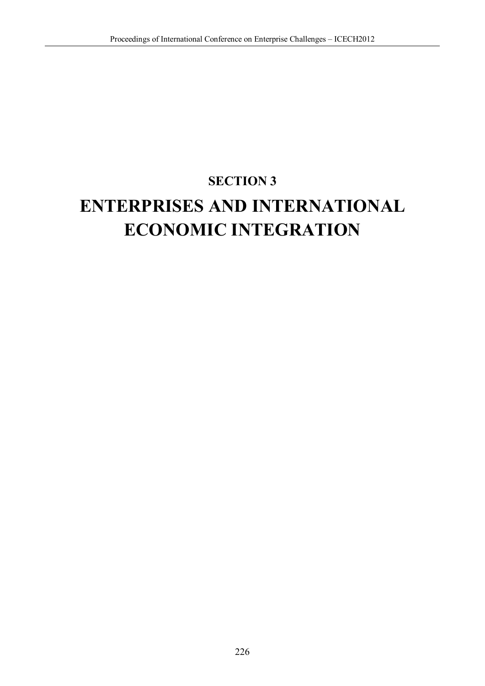## **SECTION 3**

# **ENTERPRISES AND INTERNATIONAL ECONOMIC INTEGRATION**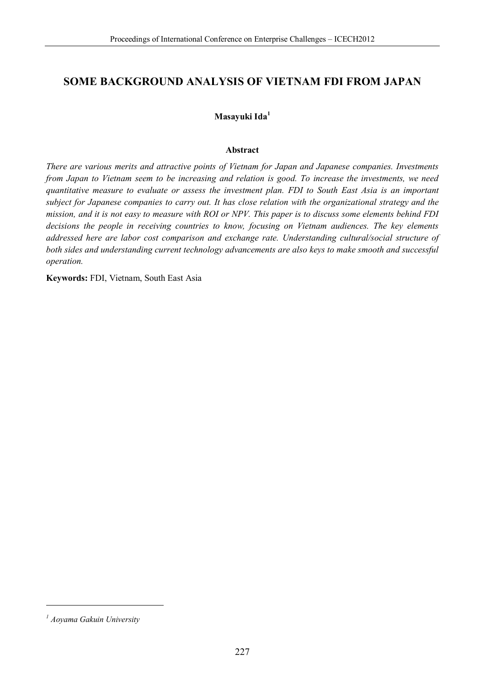### **SOME BACKGROUND ANALYSIS OF VIETNAM FDI FROM JAPAN**

### **Masayuki Ida<sup>1</sup>**

#### **Abstract**

*There are various merits and attractive points of Vietnam for Japan and Japanese companies. Investments from Japan to Vietnam seem to be increasing and relation is good. To increase the investments, we need quantitative measure to evaluate or assess the investment plan. FDI to South East Asia is an important subject for Japanese companies to carry out. It has close relation with the organizational strategy and the mission, and it is not easy to measure with ROI or NPV. This paper is to discuss some elements behind FDI decisions the people in receiving countries to know, focusing on Vietnam audiences. The key elements addressed here are labor cost comparison and exchange rate. Understanding cultural/social structure of both sides and understanding current technology advancements are also keys to make smooth and successful operation.* 

**Keywords:** FDI, Vietnam, South East Asia

<u>.</u>

*<sup>1</sup> Aoyama Gakuin University*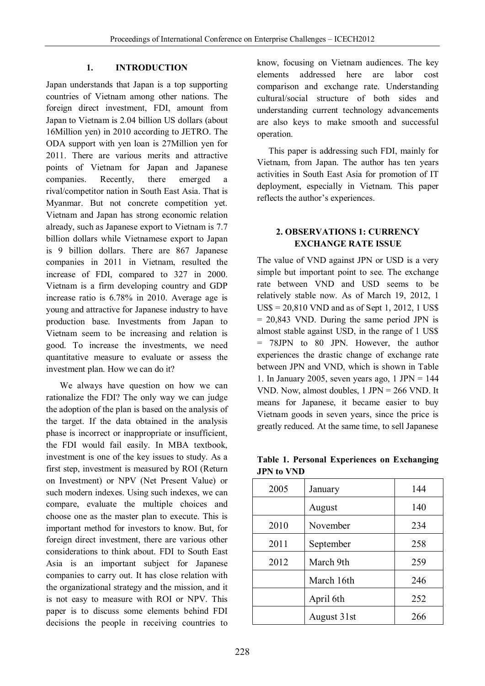### **1. INTRODUCTION**

Japan understands that Japan is a top supporting countries of Vietnam among other nations. The foreign direct investment, FDI, amount from Japan to Vietnam is 2.04 billion US dollars (about 16Million yen) in 2010 according to JETRO. The ODA support with yen loan is 27Million yen for 2011. There are various merits and attractive points of Vietnam for Japan and Japanese companies. Recently, there emerged a rival/competitor nation in South East Asia. That is Myanmar. But not concrete competition yet. Vietnam and Japan has strong economic relation already, such as Japanese export to Vietnam is 7.7 billion dollars while Vietnamese export to Japan is 9 billion dollars. There are 867 Japanese companies in 2011 in Vietnam, resulted the increase of FDI, compared to 327 in 2000. Vietnam is a firm developing country and GDP increase ratio is 6.78% in 2010. Average age is young and attractive for Japanese industry to have production base. Investments from Japan to Vietnam seem to be increasing and relation is good. To increase the investments, we need quantitative measure to evaluate or assess the investment plan. How we can do it?

 We always have question on how we can rationalize the FDI? The only way we can judge the adoption of the plan is based on the analysis of the target. If the data obtained in the analysis phase is incorrect or inappropriate or insufficient, the FDI would fail easily. In MBA textbook, investment is one of the key issues to study. As a first step, investment is measured by ROI (Return on Investment) or NPV (Net Present Value) or such modern indexes. Using such indexes, we can compare, evaluate the multiple choices and choose one as the master plan to execute. This is important method for investors to know. But, for foreign direct investment, there are various other considerations to think about. FDI to South East Asia is an important subject for Japanese companies to carry out. It has close relation with the organizational strategy and the mission, and it is not easy to measure with ROI or NPV. This paper is to discuss some elements behind FDI decisions the people in receiving countries to

know, focusing on Vietnam audiences. The key elements addressed here are labor cost comparison and exchange rate. Understanding cultural/social structure of both sides and understanding current technology advancements are also keys to make smooth and successful operation.

This paper is addressing such FDI, mainly for Vietnam, from Japan. The author has ten years activities in South East Asia for promotion of IT deployment, especially in Vietnam. This paper reflects the author's experiences.

### **2. OBSERVATIONS 1: CURRENCY EXCHANGE RATE ISSUE**

The value of VND against JPN or USD is a very simple but important point to see. The exchange rate between VND and USD seems to be relatively stable now. As of March 19, 2012, 1  $USS = 20,810$  VND and as of Sept 1, 2012, 1 US\$ = 20,843 VND. During the same period JPN is almost stable against USD, in the range of 1 US\$ = 78JPN to 80 JPN. However, the author experiences the drastic change of exchange rate between JPN and VND, which is shown in Table 1. In January 2005, seven years ago,  $1$  JPN = 144 VND. Now, almost doubles, 1 JPN = 266 VND. It means for Japanese, it became easier to buy Vietnam goods in seven years, since the price is greatly reduced. At the same time, to sell Japanese

**Table 1. Personal Experiences on Exchanging JPN to VND** 

| 2005 | January     | 144 |
|------|-------------|-----|
|      | August      | 140 |
| 2010 | November    | 234 |
| 2011 | September   | 258 |
| 2012 | March 9th   | 259 |
|      | March 16th  | 246 |
|      | April 6th   | 252 |
|      | August 31st | 266 |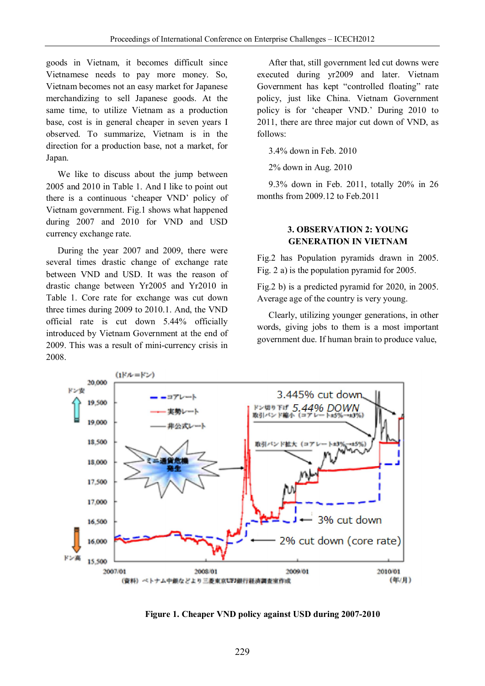goods in Vietnam, it becomes difficult since Vietnamese needs to pay more money. So, Vietnam becomes not an easy market for Japanese merchandizing to sell Japanese goods. At the same time, to utilize Vietnam as a production base, cost is in general cheaper in seven years I observed. To summarize, Vietnam is in the direction for a production base, not a market, for Japan.

We like to discuss about the jump between 2005 and 2010 in Table 1. And I like to point out there is a continuous 'cheaper VND' policy of Vietnam government. Fig.1 shows what happened during 2007 and 2010 for VND and USD currency exchange rate.

During the year 2007 and 2009, there were several times drastic change of exchange rate between VND and USD. It was the reason of drastic change between Yr2005 and Yr2010 in Table 1. Core rate for exchange was cut down three times during 2009 to 2010.1. And, the VND official rate is cut down 5.44% officially introduced by Vietnam Government at the end of 2009. This was a result of mini-currency crisis in 2008.

After that, still government led cut downs were executed during yr2009 and later. Vietnam Government has kept "controlled floating" rate policy, just like China. Vietnam Government policy is for 'cheaper VND.' During 2010 to 2011, there are three major cut down of VND, as follows:

3.4% down in Feb. 2010

2% down in Aug. 2010

9.3% down in Feb. 2011, totally 20% in 26 months from 2009.12 to Feb.2011

### **3. OBSERVATION 2: YOUNG GENERATION IN VIETNAM**

Fig.2 has Population pyramids drawn in 2005. Fig. 2 a) is the population pyramid for 2005.

Fig.2 b) is a predicted pyramid for 2020, in 2005. Average age of the country is very young.

Clearly, utilizing younger generations, in other words, giving jobs to them is a most important government due. If human brain to produce value,



**Figure 1. Cheaper VND policy against USD during 2007-2010**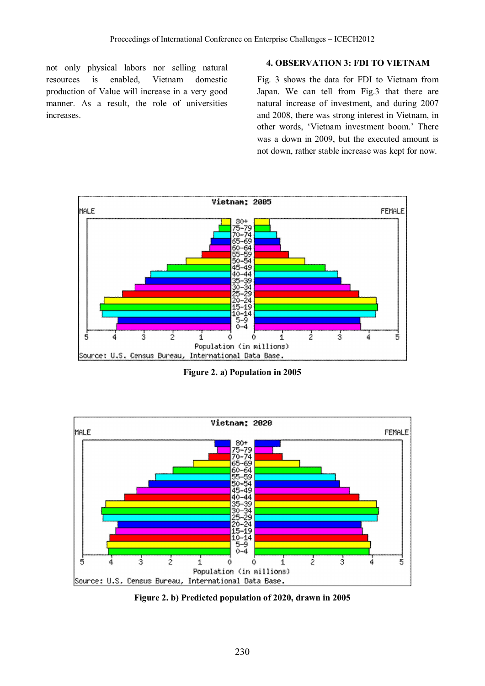not only physical labors nor selling natural resources is enabled, Vietnam domestic production of Value will increase in a very good manner. As a result, the role of universities increases.

### **4. OBSERVATION 3: FDI TO VIETNAM**

Fig. 3 shows the data for FDI to Vietnam from Japan. We can tell from Fig.3 that there are natural increase of investment, and during 2007 and 2008, there was strong interest in Vietnam, in other words, 'Vietnam investment boom.' There was a down in 2009, but the executed amount is not down, rather stable increase was kept for now.



**Figure 2. a) Population in 2005** 



**Figure 2. b) Predicted population of 2020, drawn in 2005**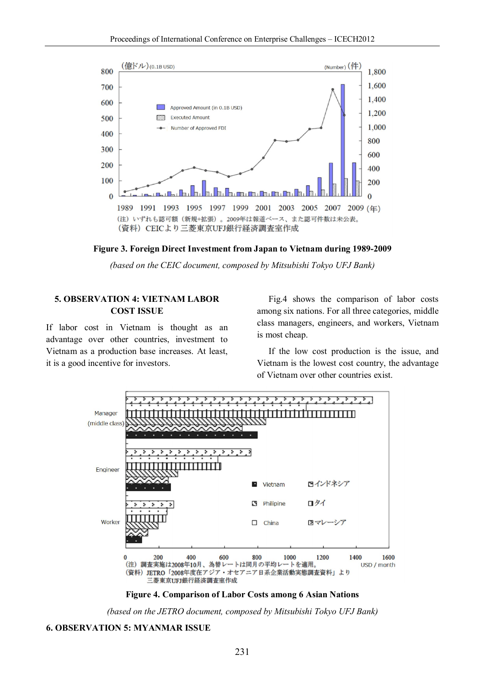

**Figure 3. Foreign Direct Investment from Japan to Vietnam during 1989-2009** 

*(based on the CEIC document, composed by Mitsubishi Tokyo UFJ Bank)* 

#### **5. OBSERVATION 4: VIETNAM LABOR COST ISSUE**

If labor cost in Vietnam is thought as an advantage over other countries, investment to Vietnam as a production base increases. At least, it is a good incentive for investors.

Fig.4 shows the comparison of labor costs among six nations. For all three categories, middle class managers, engineers, and workers, Vietnam is most cheap.

If the low cost production is the issue, and Vietnam is the lowest cost country, the advantage of Vietnam over other countries exist.



**Figure 4. Comparison of Labor Costs among 6 Asian Nations** 

*(based on the JETRO document, composed by Mitsubishi Tokyo UFJ Bank)* 

#### **6. OBSERVATION 5: MYANMAR ISSUE**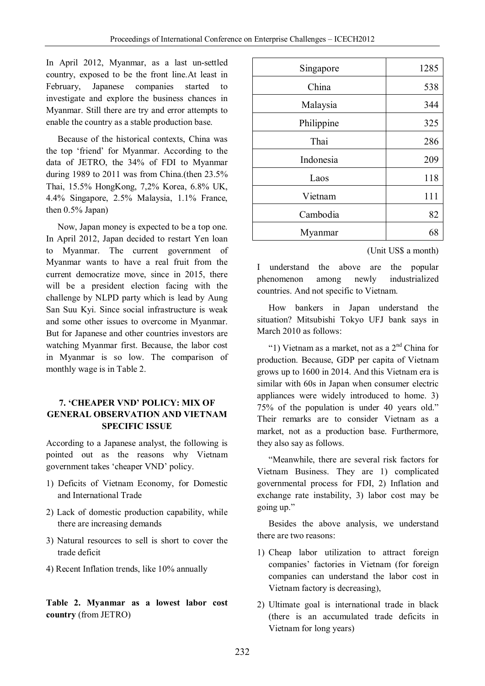In April 2012, Myanmar, as a last un-settled country, exposed to be the front line.At least in February, Japanese companies started to investigate and explore the business chances in Myanmar. Still there are try and error attempts to enable the country as a stable production base.

Because of the historical contexts, China was the top 'friend' for Myanmar. According to the data of JETRO, the 34% of FDI to Myanmar during 1989 to 2011 was from China.(then 23.5% Thai, 15.5% HongKong, 7,2% Korea, 6.8% UK, 4.4% Singapore, 2.5% Malaysia, 1.1% France, then 0.5% Japan)

Now, Japan money is expected to be a top one. In April 2012, Japan decided to restart Yen loan to Myanmar. The current government of Myanmar wants to have a real fruit from the current democratize move, since in 2015, there will be a president election facing with the challenge by NLPD party which is lead by Aung San Suu Kyi. Since social infrastructure is weak and some other issues to overcome in Myanmar. But for Japanese and other countries investors are watching Myanmar first. Because, the labor cost in Myanmar is so low. The comparison of monthly wage is in Table 2.

### **7. 'CHEAPER VND' POLICY: MIX OF GENERAL OBSERVATION AND VIETNAM SPECIFIC ISSUE**

According to a Japanese analyst, the following is pointed out as the reasons why Vietnam government takes 'cheaper VND' policy.

- 1) Deficits of Vietnam Economy, for Domestic and International Trade
- 2) Lack of domestic production capability, while there are increasing demands
- 3) Natural resources to sell is short to cover the trade deficit
- 4) Recent Inflation trends, like 10% annually

**Table 2. Myanmar as a lowest labor cost country** (from JETRO)

| Singapore  | 1285 |
|------------|------|
| China      | 538  |
| Malaysia   | 344  |
| Philippine | 325  |
| Thai       | 286  |
| Indonesia  | 209  |
| Laos       | 118  |
| Vietnam    | 111  |
| Cambodia   | 82   |
| Myanmar    | 68   |

(Unit US\$ a month)

I understand the above are the popular phenomenon among newly industrialized countries. And not specific to Vietnam.

How bankers in Japan understand the situation? Mitsubishi Tokyo UFJ bank says in March 2010 as follows:

"1) Vietnam as a market, not as a  $2<sup>nd</sup>$  China for production. Because, GDP per capita of Vietnam grows up to 1600 in 2014. And this Vietnam era is similar with 60s in Japan when consumer electric appliances were widely introduced to home. 3) 75% of the population is under 40 years old." Their remarks are to consider Vietnam as a market, not as a production base. Furthermore, they also say as follows.

"Meanwhile, there are several risk factors for Vietnam Business. They are 1) complicated governmental process for FDI, 2) Inflation and exchange rate instability, 3) labor cost may be going up."

Besides the above analysis, we understand there are two reasons:

- 1) Cheap labor utilization to attract foreign companies' factories in Vietnam (for foreign companies can understand the labor cost in Vietnam factory is decreasing),
- 2) Ultimate goal is international trade in black (there is an accumulated trade deficits in Vietnam for long years)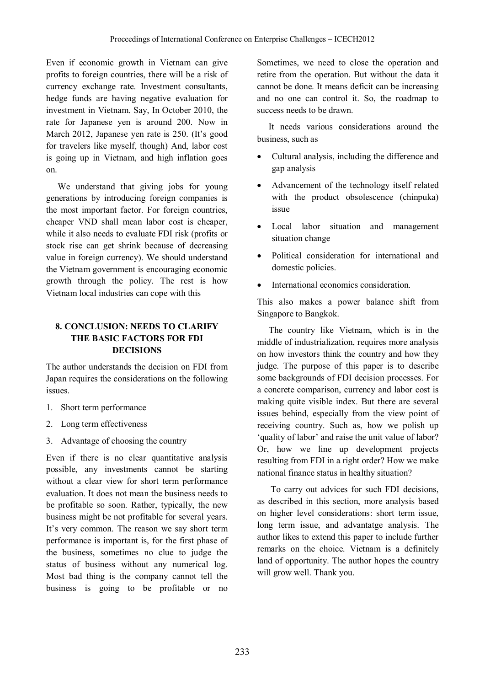Even if economic growth in Vietnam can give profits to foreign countries, there will be a risk of currency exchange rate. Investment consultants, hedge funds are having negative evaluation for investment in Vietnam. Say, In October 2010, the rate for Japanese yen is around 200. Now in March 2012, Japanese yen rate is 250. (It's good for travelers like myself, though) And, labor cost is going up in Vietnam, and high inflation goes on.

We understand that giving jobs for young generations by introducing foreign companies is the most important factor. For foreign countries, cheaper VND shall mean labor cost is cheaper, while it also needs to evaluate FDI risk (profits or stock rise can get shrink because of decreasing value in foreign currency). We should understand the Vietnam government is encouraging economic growth through the policy. The rest is how Vietnam local industries can cope with this

### **8. CONCLUSION: NEEDS TO CLARIFY THE BASIC FACTORS FOR FDI DECISIONS**

The author understands the decision on FDI from Japan requires the considerations on the following issues.

- 1. Short term performance
- 2. Long term effectiveness
- 3. Advantage of choosing the country

Even if there is no clear quantitative analysis possible, any investments cannot be starting without a clear view for short term performance evaluation. It does not mean the business needs to be profitable so soon. Rather, typically, the new business might be not profitable for several years. It's very common. The reason we say short term performance is important is, for the first phase of the business, sometimes no clue to judge the status of business without any numerical log. Most bad thing is the company cannot tell the business is going to be profitable or no

Sometimes, we need to close the operation and retire from the operation. But without the data it cannot be done. It means deficit can be increasing and no one can control it. So, the roadmap to success needs to be drawn.

It needs various considerations around the business, such as

- Cultural analysis, including the difference and gap analysis
- Advancement of the technology itself related with the product obsolescence (chinpuka) issue
- Local labor situation and management situation change
- Political consideration for international and domestic policies.
- International economics consideration.

This also makes a power balance shift from Singapore to Bangkok.

The country like Vietnam, which is in the middle of industrialization, requires more analysis on how investors think the country and how they judge. The purpose of this paper is to describe some backgrounds of FDI decision processes. For a concrete comparison, currency and labor cost is making quite visible index. But there are several issues behind, especially from the view point of receiving country. Such as, how we polish up 'quality of labor' and raise the unit value of labor? Or, how we line up development projects resulting from FDI in a right order? How we make national finance status in healthy situation?

To carry out advices for such FDI decisions, as described in this section, more analysis based on higher level considerations: short term issue, long term issue, and advantatge analysis. The author likes to extend this paper to include further remarks on the choice. Vietnam is a definitely land of opportunity. The author hopes the country will grow well. Thank you.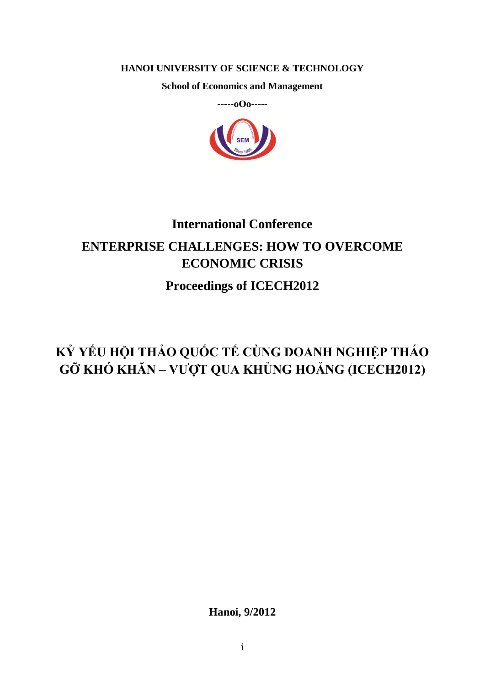### **HANOI UNIVERSITY OF SCIENCE & TECHNOLOGY**

**School of Economics and Management**



## **International Conference ENTERPRISE CHALLENGES: HOW TO OVERCOME ECONOMIC CRISIS Proceedings of ICECH2012**

## **KỶ YẾU HỘI THẢO QUỐC TẾ CÙNG DOANH NGHIỆP THÁO GỠ KHÓ KHĂN – VƯỢT QUA KHỦNG HOẢNG (ICECH2012)**

**Hanoi, 9/2012**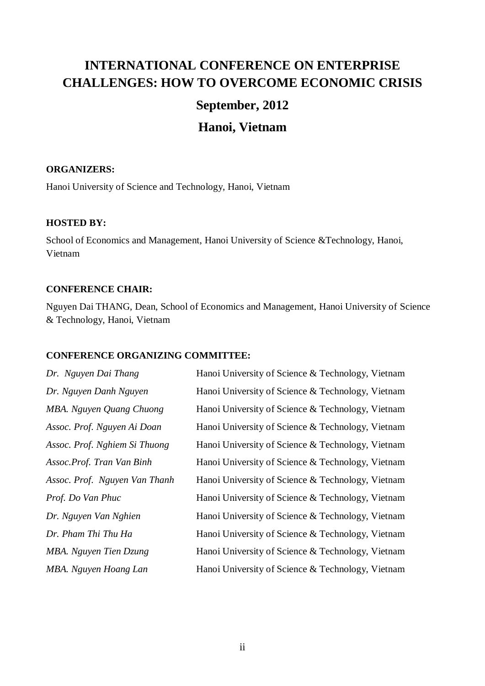## **INTERNATIONAL CONFERENCE ON ENTERPRISE CHALLENGES: HOW TO OVERCOME ECONOMIC CRISIS**

### **September, 2012**

## **Hanoi, Vietnam**

### **ORGANIZERS:**

Hanoi University of Science and Technology, Hanoi, Vietnam

### **HOSTED BY:**

School of Economics and Management, Hanoi University of Science &Technology, Hanoi, Vietnam

### **CONFERENCE CHAIR:**

Nguyen Dai THANG, Dean, School of Economics and Management, Hanoi University of Science & Technology, Hanoi, Vietnam

### **CONFERENCE ORGANIZING COMMITTEE:**

*Dr. Nguyen Dai Thang* Hanoi University of Science & Technology, Vietnam *Dr. Nguyen Danh Nguyen* Hanoi University of Science & Technology, Vietnam *MBA. Nguyen Quang Chuong* Hanoi University of Science & Technology, Vietnam *Assoc. Prof. Nguyen Ai Doan* Hanoi University of Science & Technology, Vietnam *Assoc. Prof. Nghiem Si Thuong* Hanoi University of Science & Technology, Vietnam *Assoc.Prof. Tran Van Binh* Hanoi University of Science & Technology, Vietnam *Assoc. Prof. Nguyen Van Thanh* Hanoi University of Science & Technology, Vietnam *Prof. Do Van Phuc* Hanoi University of Science & Technology, Vietnam *Dr. Nguyen Van Nghien* Hanoi University of Science & Technology, Vietnam *Dr. Pham Thi Thu Ha* Hanoi University of Science & Technology, Vietnam *MBA. Nguyen Tien Dzung* Hanoi University of Science & Technology, Vietnam *MBA. Nguyen Hoang Lan* Hanoi University of Science & Technology, Vietnam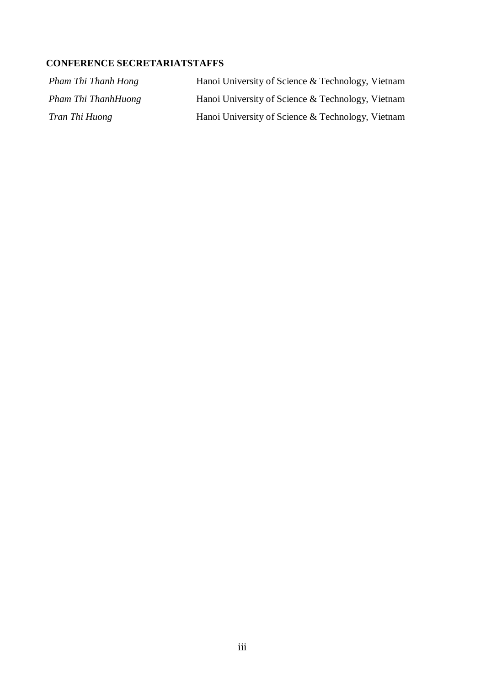### **CONFERENCE SECRETARIATSTAFFS**

| Pham Thi Thanh Hong | Hanoi University of Science & Technology, Vietnam |
|---------------------|---------------------------------------------------|
| Pham Thi ThanhHuong | Hanoi University of Science & Technology, Vietnam |
| Tran Thi Huong      | Hanoi University of Science & Technology, Vietnam |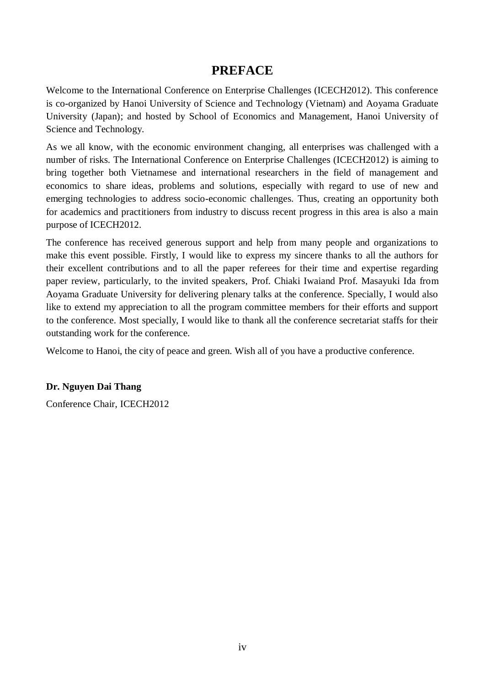### **PREFACE**

Welcome to the International Conference on Enterprise Challenges (ICECH2012). This conference is co-organized by Hanoi University of Science and Technology (Vietnam) and Aoyama Graduate University (Japan); and hosted by School of Economics and Management, Hanoi University of Science and Technology.

As we all know, with the economic environment changing, all enterprises was challenged with a number of risks. The International Conference on Enterprise Challenges (ICECH2012) is aiming to bring together both Vietnamese and international researchers in the field of management and economics to share ideas, problems and solutions, especially with regard to use of new and emerging technologies to address socio-economic challenges. Thus, creating an opportunity both for academics and practitioners from industry to discuss recent progress in this area is also a main purpose of ICECH2012.

The conference has received generous support and help from many people and organizations to make this event possible. Firstly, I would like to express my sincere thanks to all the authors for their excellent contributions and to all the paper referees for their time and expertise regarding paper review, particularly, to the invited speakers, Prof. Chiaki Iwaiand Prof. Masayuki Ida from Aoyama Graduate University for delivering plenary talks at the conference. Specially, I would also like to extend my appreciation to all the program committee members for their efforts and support to the conference. Most specially, I would like to thank all the conference secretariat staffs for their outstanding work for the conference.

Welcome to Hanoi, the city of peace and green. Wish all of you have a productive conference.

### **Dr. Nguyen Dai Thang**

Conference Chair, ICECH2012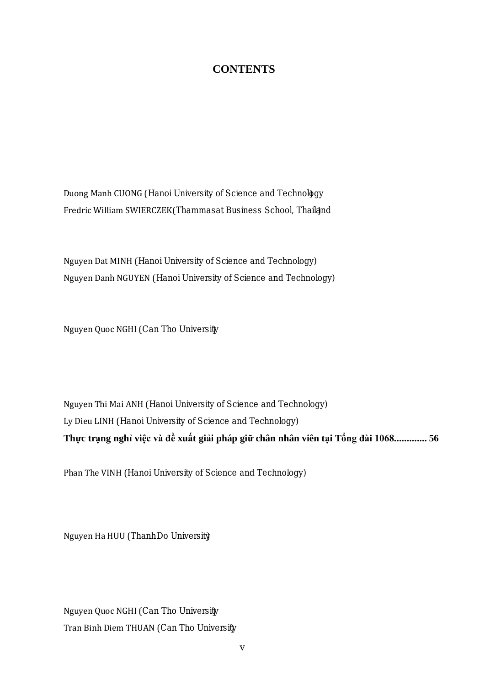## **CONTENTS**

### Section 1: STRATEGY ORGANIZATION MANAGEMENT

| 1. | A comparative study of corporate culture, leadership competencies, job satisfaction,<br>iob<br>commitment, and job performance in Vietnam companies in 2006 and 2012                                                                                                                           |
|----|------------------------------------------------------------------------------------------------------------------------------------------------------------------------------------------------------------------------------------------------------------------------------------------------|
|    | Nghiên c Au so sánh v+~ £ • Š x f + ' f • Š' á ‰ Š * K  ŽŽ • Š s Ehài lòng v + công vi .c, s E<br>g "n k *t v 9 công vi.c và k *t qu làm vi.c t i các doanh nghi.p Vi.t Nam t i th : < -,m<br>• £ •2006 và 2012                                                                                |
|    | Duong Manh CUONG (Hanoi University of Science and Technology                                                                                                                                                                                                                                   |
|    | Fredric William SWIERCZEK(Thammasat Business School, Thailan)                                                                                                                                                                                                                                  |
| 2. | Review on LEAN Practices in Vietnam Small and Medium -sized Enterprises 21.                                                                                                                                                                                                                    |
|    | Th Ecti-n Ang d xng LEAN t i các doanh nghi .p nh 2và v Ba Vi .t Nam                                                                                                                                                                                                                           |
|    | Nguyen Dat MINH (Hanoi University of Science and Technology)                                                                                                                                                                                                                                   |
|    | Nguyen Danh NGUYEN (Hanoi University of Science and Technology)                                                                                                                                                                                                                                |
| 3. |                                                                                                                                                                                                                                                                                                |
|    | Factors $\bullet$ 'f  - ' $\bullet$ f $\bullet \bullet$ < $\bullet$ % Loyalty ^ ` i $\bullet$                                                                                                                                                                                                  |
|    | Nguyen Quoc NGHI (Can Tho University                                                                                                                                                                                                                                                           |
| 4. | Market Orientation and its Effects on Business Performance of Software Companies in                                                                                                                                                                                                            |
|    | 00h Š @ng th 0-" @ng và tác 7ng c ?a nó t 9 k *t qu kinh doanh c ?a cáccông ty ph n m +n<br>t i Hà N 7                                                                                                                                                                                         |
|    | Nguyen Thi Mai ANH (Hanoi University of Science and Technology)                                                                                                                                                                                                                                |
|    | Ly Dieu LINH (Hanoi University of Science and Technology)                                                                                                                                                                                                                                      |
| 5. | Thực trạng nghỉ việc và đề xuất giải pháp giữ chân nhân viên tại Tổng đài 1068 56                                                                                                                                                                                                              |
|    | JobLeaving and Employee Retention Solutions in Call Center 1068                                                                                                                                                                                                                                |
|    | Phan The VINH (Hanoi University of Science and Technology)                                                                                                                                                                                                                                     |
|    | 6. Qu n tr ,ngu 0 nhân I Ac và v · <sup>-</sup> tháo g 8 · Š x · Š £'·Ž j ' 3ng trong các doanh nghi *p                                                                                                                                                                                        |
|    | Human Resource Management and how to Overcome Labor Shortage in Garment Enterprises                                                                                                                                                                                                            |
|    | Nguyen Ha HUU (Thanh Do University)                                                                                                                                                                                                                                                            |
| 7. | Các nhân t/ $\cdot$ Š Š7 $\cdot$ ‰ & quá trình xây d Ang và phát tri ( $\cdot$ - Š < 4 $\cdot$ ‰ c $\cdot$ sa doanh                                                                                                                                                                            |
|    | $f \ldots -$ '" • · ' $f \ldots -$ ' • $-\langle \check{Z} + \langle \bullet \rangle \rangle_{00}$ $f \bullet \dagger$ · '" ' $\sim \langle \bullet \rangle_{00}$ ' $\bullet$ ' $f \bullet \rangle$ i • " $f \bullet \dagger \tilde{a}$ • · ' $\langle$ " $\langle \ldots \rangle$<br>Tho City |
|    | Nguyen Quoc NGHI (Can Tho University                                                                                                                                                                                                                                                           |
|    | Tran Binh Diem THUAN (Can Tho University                                                                                                                                                                                                                                                       |